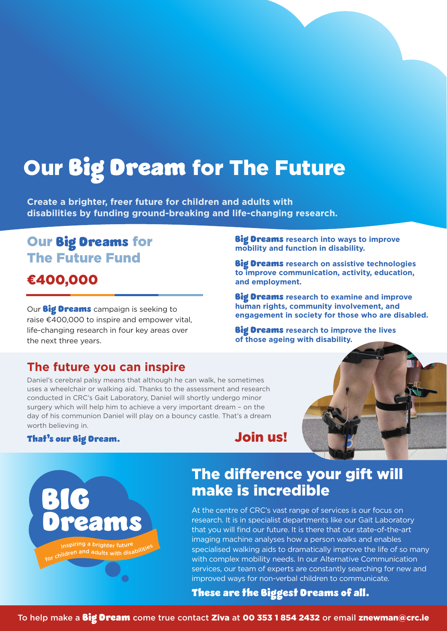# Our Big Dream for The Future

**Create a brighter, freer future for children and adults with disabilities by funding ground-breaking and life-changing research.**

# Our Big Dreams for The Future Fund

### €400,000

Our **Big Dreams** campaign is seeking to raise  $\epsilon$ 400,000 to inspire and empower vital, life-changing research in four key areas over the next three years.

#### **The future you can inspire**

Daniel's cerebral palsy means that although he can walk, he sometimes uses a wheelchair or walking aid. Thanks to the assessment and research conducted in CRC's Gait Laboratory, Daniel will shortly undergo minor surgery which will help him to achieve a very important dream – on the day of his communion Daniel will play on a bouncy castle. That's a dream worth believing in.

#### That's our Big Dream. **Join us!**

**and employment.**

# **of those ageing with disability.**



## The difference your gift will make is incredible

Big Dreams **research into ways to improve** 

Big Dreams **research on assistive technologies to improve communication, activity, education,** 

Big Dreams **research to examine and improve human rights, community involvement, and** 

Big Dreams **research to improve the lives** 

**engagement in society for those who are disabled.**

**mobility and function in disability.**

At the centre of CRC's vast range of services is our focus on research. It is in specialist departments like our Gait Laboratory that you will find our future. It is there that our state-of-the-art imaging machine analyses how a person walks and enables specialised walking aids to dramatically improve the life of so many with complex mobility needs. In our Alternative Communication services, our team of experts are constantly searching for new and improved ways for non-verbal children to communicate.

#### These are the Biggest Dreams of all.

To help make a *Big Dream* come true contact Ziva at 00 353 1 854 2432 or email znewman@crc.ie